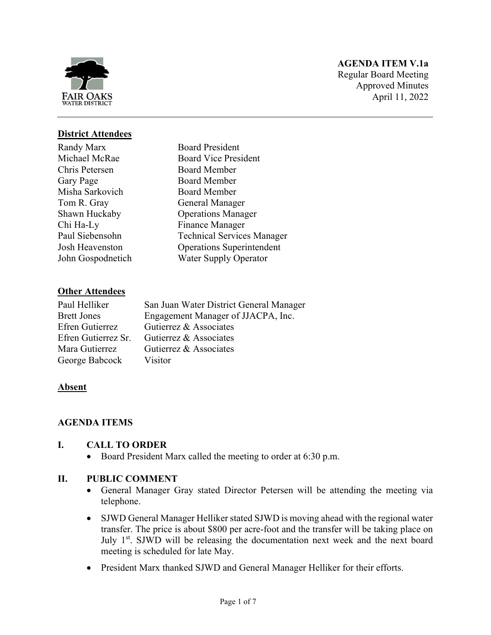

# **AGENDA ITEM V.1a**

Regular Board Meeting Approved Minutes April 11, 2022

# **District Attendees**

Randy Marx Michael McRae Chris Petersen Gary Page Misha Sarkovich Tom R. Gray Shawn Huckaby Chi Ha-Ly Paul Siebensohn Josh Heavenston John Gospodnetich

Board President Board Vice President Board Member Board Member Board Member General Manager Operations Manager Finance Manager Technical Services Manager Operations Superintendent Water Supply Operator

### **Other Attendees**

| Paul Helliker       | San Juan Water District General Manager |
|---------------------|-----------------------------------------|
| <b>Brett Jones</b>  | Engagement Manager of JJACPA, Inc.      |
| Efren Gutierrez     | Gutierrez & Associates                  |
| Efren Gutierrez Sr. | Gutierrez & Associates                  |
| Mara Gutierrez      | Gutierrez & Associates                  |
| George Babcock      | Visitor                                 |

#### **Absent**

### **AGENDA ITEMS**

#### **I. CALL TO ORDER**

• Board President Marx called the meeting to order at 6:30 p.m.

### **II. PUBLIC COMMENT**

- General Manager Gray stated Director Petersen will be attending the meeting via telephone.
- SJWD General Manager Helliker stated SJWD is moving ahead with the regional water transfer. The price is about \$800 per acre-foot and the transfer will be taking place on July 1<sup>st</sup>. SJWD will be releasing the documentation next week and the next board meeting is scheduled for late May.
- President Marx thanked SJWD and General Manager Helliker for their efforts.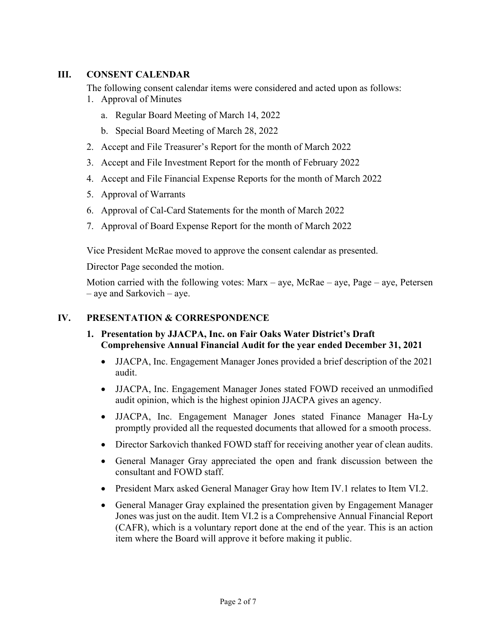# **III. CONSENT CALENDAR**

The following consent calendar items were considered and acted upon as follows:

- 1. Approval of Minutes
	- a. Regular Board Meeting of March 14, 2022
	- b. Special Board Meeting of March 28, 2022
- 2. Accept and File Treasurer's Report for the month of March 2022
- 3. Accept and File Investment Report for the month of February 2022
- 4. Accept and File Financial Expense Reports for the month of March 2022
- 5. Approval of Warrants
- 6. Approval of Cal-Card Statements for the month of March 2022
- 7. Approval of Board Expense Report for the month of March 2022

Vice President McRae moved to approve the consent calendar as presented.

Director Page seconded the motion.

Motion carried with the following votes:  $Max - aye$ ,  $McRae - aye$ ,  $Page - aye$ ,  $Petersen$ – aye and Sarkovich – aye.

### **IV. PRESENTATION & CORRESPONDENCE**

- **1. Presentation by JJACPA, Inc. on Fair Oaks Water District's Draft Comprehensive Annual Financial Audit for the year ended December 31, 2021** 
	- JJACPA, Inc. Engagement Manager Jones provided a brief description of the 2021 audit.
	- JJACPA, Inc. Engagement Manager Jones stated FOWD received an unmodified audit opinion, which is the highest opinion JJACPA gives an agency.
	- JJACPA, Inc. Engagement Manager Jones stated Finance Manager Ha-Ly promptly provided all the requested documents that allowed for a smooth process.
	- Director Sarkovich thanked FOWD staff for receiving another year of clean audits.
	- General Manager Gray appreciated the open and frank discussion between the consultant and FOWD staff.
	- President Marx asked General Manager Gray how Item IV.1 relates to Item VI.2.
	- General Manager Gray explained the presentation given by Engagement Manager Jones was just on the audit. Item VI.2 is a Comprehensive Annual Financial Report (CAFR), which is a voluntary report done at the end of the year. This is an action item where the Board will approve it before making it public.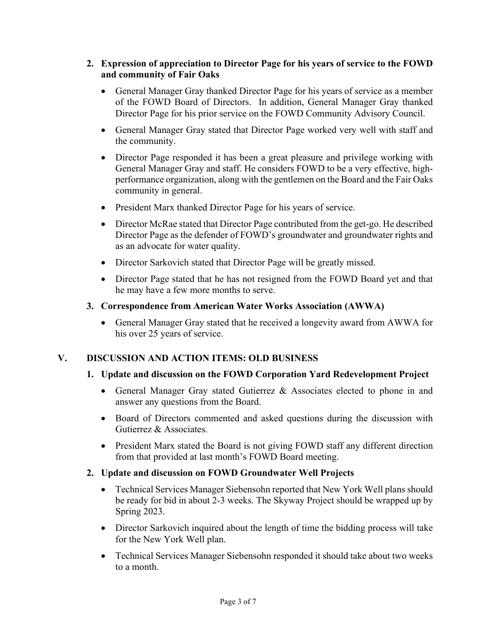### **2. Expression of appreciation to Director Page for his years of service to the FOWD and community of Fair Oaks**

- General Manager Gray thanked Director Page for his years of service as a member of the FOWD Board of Directors. In addition, General Manager Gray thanked Director Page for his prior service on the FOWD Community Advisory Council.
- General Manager Gray stated that Director Page worked very well with staff and the community.
- Director Page responded it has been a great pleasure and privilege working with General Manager Gray and staff. He considers FOWD to be a very effective, highperformance organization, along with the gentlemen on the Board and the Fair Oaks community in general.
- President Marx thanked Director Page for his years of service.
- Director McRae stated that Director Page contributed from the get-go. He described Director Page as the defender of FOWD's groundwater and groundwater rights and as an advocate for water quality.
- Director Sarkovich stated that Director Page will be greatly missed.
- Director Page stated that he has not resigned from the FOWD Board yet and that he may have a few more months to serve.

### **3. Correspondence from American Water Works Association (AWWA)**

 General Manager Gray stated that he received a longevity award from AWWA for his over 25 years of service.

### **V. DISCUSSION AND ACTION ITEMS: OLD BUSINESS**

### **1. Update and discussion on the FOWD Corporation Yard Redevelopment Project**

- General Manager Gray stated Gutierrez & Associates elected to phone in and answer any questions from the Board.
- Board of Directors commented and asked questions during the discussion with Gutierrez & Associates.
- President Marx stated the Board is not giving FOWD staff any different direction from that provided at last month's FOWD Board meeting.

#### **2. Update and discussion on FOWD Groundwater Well Projects**

- Technical Services Manager Siebensohn reported that New York Well plans should be ready for bid in about 2-3 weeks. The Skyway Project should be wrapped up by Spring 2023.
- Director Sarkovich inquired about the length of time the bidding process will take for the New York Well plan.
- Technical Services Manager Siebensohn responded it should take about two weeks to a month.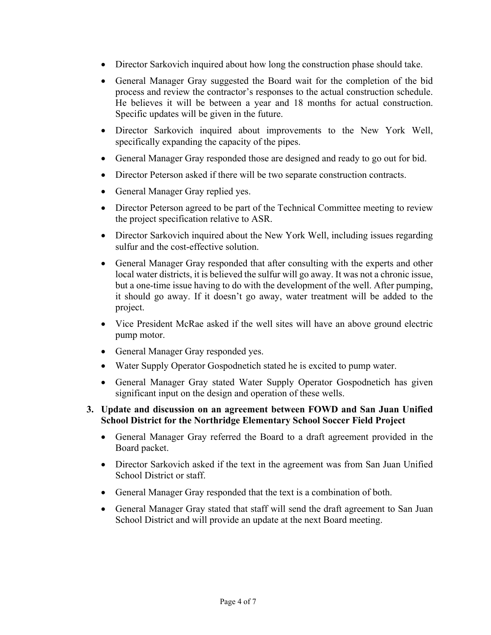- Director Sarkovich inquired about how long the construction phase should take.
- General Manager Gray suggested the Board wait for the completion of the bid process and review the contractor's responses to the actual construction schedule. He believes it will be between a year and 18 months for actual construction. Specific updates will be given in the future.
- Director Sarkovich inquired about improvements to the New York Well, specifically expanding the capacity of the pipes.
- General Manager Gray responded those are designed and ready to go out for bid.
- Director Peterson asked if there will be two separate construction contracts.
- General Manager Gray replied yes.
- Director Peterson agreed to be part of the Technical Committee meeting to review the project specification relative to ASR.
- Director Sarkovich inquired about the New York Well, including issues regarding sulfur and the cost-effective solution.
- General Manager Gray responded that after consulting with the experts and other local water districts, it is believed the sulfur will go away. It was not a chronic issue, but a one-time issue having to do with the development of the well. After pumping, it should go away. If it doesn't go away, water treatment will be added to the project.
- Vice President McRae asked if the well sites will have an above ground electric pump motor.
- General Manager Gray responded yes.
- Water Supply Operator Gospodnetich stated he is excited to pump water.
- General Manager Gray stated Water Supply Operator Gospodnetich has given significant input on the design and operation of these wells.

### **3. Update and discussion on an agreement between FOWD and San Juan Unified School District for the Northridge Elementary School Soccer Field Project**

- General Manager Gray referred the Board to a draft agreement provided in the Board packet.
- Director Sarkovich asked if the text in the agreement was from San Juan Unified School District or staff.
- General Manager Gray responded that the text is a combination of both.
- General Manager Gray stated that staff will send the draft agreement to San Juan School District and will provide an update at the next Board meeting.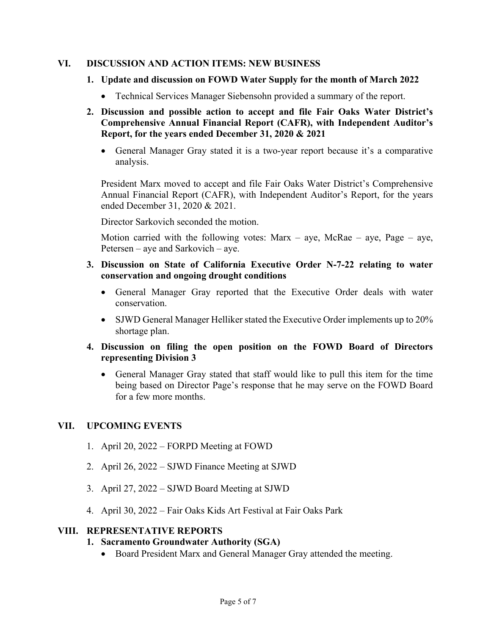### **VI. DISCUSSION AND ACTION ITEMS: NEW BUSINESS**

- **1. Update and discussion on FOWD Water Supply for the month of March 2022** 
	- Technical Services Manager Siebensohn provided a summary of the report.

### **2. Discussion and possible action to accept and file Fair Oaks Water District's Comprehensive Annual Financial Report (CAFR), with Independent Auditor's Report, for the years ended December 31, 2020 & 2021**

 General Manager Gray stated it is a two-year report because it's a comparative analysis.

President Marx moved to accept and file Fair Oaks Water District's Comprehensive Annual Financial Report (CAFR), with Independent Auditor's Report, for the years ended December 31, 2020 & 2021.

Director Sarkovich seconded the motion.

Motion carried with the following votes: Marx – aye, McRae – aye, Page – aye, Petersen – aye and Sarkovich – aye.

### **3. Discussion on State of California Executive Order N-7-22 relating to water conservation and ongoing drought conditions**

- General Manager Gray reported that the Executive Order deals with water conservation.
- SJWD General Manager Helliker stated the Executive Order implements up to 20% shortage plan.
- **4. Discussion on filing the open position on the FOWD Board of Directors representing Division 3** 
	- General Manager Gray stated that staff would like to pull this item for the time being based on Director Page's response that he may serve on the FOWD Board for a few more months.

### **VII. UPCOMING EVENTS**

- 1. April 20, 2022 FORPD Meeting at FOWD
- 2. April 26, 2022 SJWD Finance Meeting at SJWD
- 3. April 27, 2022 SJWD Board Meeting at SJWD
- 4. April 30, 2022 Fair Oaks Kids Art Festival at Fair Oaks Park

#### **VIII. REPRESENTATIVE REPORTS**

### **1. Sacramento Groundwater Authority (SGA)**

• Board President Marx and General Manager Gray attended the meeting.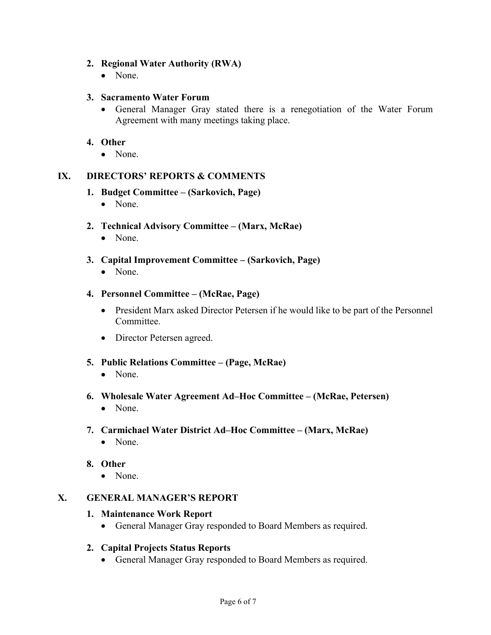### **2. Regional Water Authority (RWA)**

• None.

### **3. Sacramento Water Forum**

 General Manager Gray stated there is a renegotiation of the Water Forum Agreement with many meetings taking place.

### **4. Other**

• None.

### **IX. DIRECTORS' REPORTS & COMMENTS**

#### **1. Budget Committee – (Sarkovich, Page)**

• None.

## **2. Technical Advisory Committee – (Marx, McRae)**

- None.
- **3. Capital Improvement Committee (Sarkovich, Page)** 
	- None.

#### **4. Personnel Committee – (McRae, Page)**

- President Marx asked Director Petersen if he would like to be part of the Personnel Committee.
- Director Petersen agreed.
- **5. Public Relations Committee (Page, McRae)** 
	- None.
- **6. Wholesale Water Agreement Ad–Hoc Committee (McRae, Petersen)** 
	- None.

### **7. Carmichael Water District Ad–Hoc Committee – (Marx, McRae)**

• None.

### **8. Other**

• None.

### **X. GENERAL MANAGER'S REPORT**

#### **1. Maintenance Work Report**

General Manager Gray responded to Board Members as required.

### **2. Capital Projects Status Reports**

General Manager Gray responded to Board Members as required.